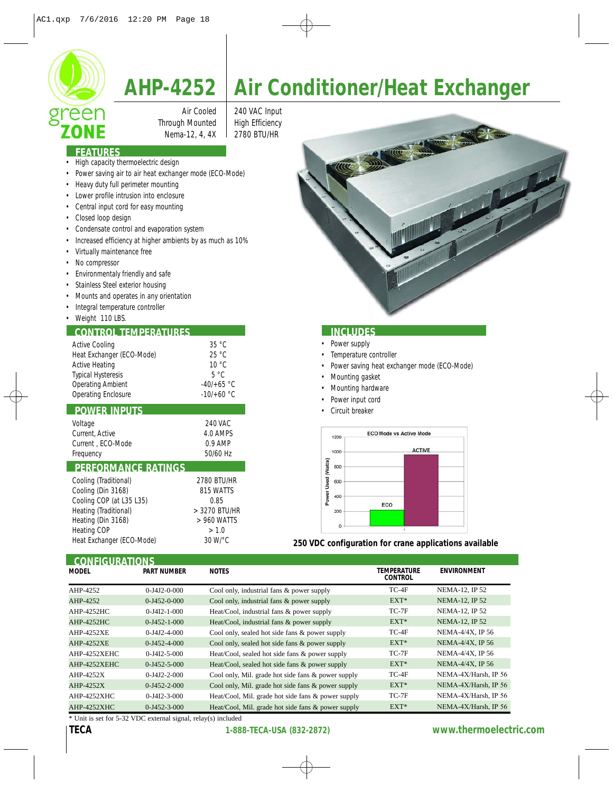

# **AHP-4252 Air Conditioner/Heat Exchanger**

Through Mounted | High Efficiency

Air Cooled | 240 VAC Input Nema-12, 4, 4X | 2780 BTU/HR

## **FEATURES**

- High capacity thermoelectric design
- Power saving air to air heat exchanger mode (ECO-Mode)
- Heavy duty full perimeter mounting
- Lower profile intrusion into enclosure
- Central input cord for easy mounting
- Closed loop design
- Condensate control and evaporation system
- Increased efficiency at higher ambients by as much as 10%
- Virtually maintenance free
- No compressor
- Environmentaly friendly and safe
- Stainless Steel exterior housing
- Mounts and operates in any orientation
- Integral temperature controller
- Weight 110 LBS.

# **CONTROL TEMPERATURES INCLUDES**

| 35 °C          |
|----------------|
| 25 °C          |
| $10^{\circ}$ C |
| $5^{\circ}$ C  |
| $-40/+65$ °C   |
| $-10/+60 °C$   |
|                |

### **POWER INPUTS**

| Voltage<br>Current, Active | 240 VAC<br>4.0 AMPS |
|----------------------------|---------------------|
| Current . ECO-Mode         | $0.9$ AMP           |
| Frequency                  | 50/60 Hz            |

# **PERFORMANCE RATINGS**

| Cooling (Traditional)     | 2780 BTU/HR   |
|---------------------------|---------------|
| Cooling (Din 3168)        | 815 WATTS     |
| Cooling COP (at L35 L35)  | 0.85          |
| Heating (Traditional)     | > 3270 BTU/HR |
| Heating (Din 3168)        | > 960 WATTS   |
| Heating COP               | > 1.0         |
| Heat Exchanger (ECO-Mode) | 30 W/°C       |

- Power supply
- Temperature controller
- Power saving heat exchanger mode (ECO-Mode)
- Mounting gasket
- Mounting hardware
- Power input cord
- Circuit breaker



**250 VDC configuration for crane applications available**

| <b>CONFIGURATIONS</b> |                       |                                                    |                                      |                       |  |  |
|-----------------------|-----------------------|----------------------------------------------------|--------------------------------------|-----------------------|--|--|
| <b>MODEL</b>          | <b>PART NUMBER</b>    | <b>NOTES</b>                                       | <b>TEMPERATURE</b><br><b>CONTROL</b> | <b>ENVIRONMENT</b>    |  |  |
| AHP-4252              | $0 - 14.12 - 0 - 000$ | Cool only, industrial fans & power supply          | $TC-4F$                              | <b>NEMA-12. IP 52</b> |  |  |
| AHP-4252              | $0 - 1452 - 0 - 000$  | Cool only, industrial fans & power supply          | $EXT*$                               | <b>NEMA-12, IP 52</b> |  |  |
| <b>AHP-4252HC</b>     | $0 - J4I2 - 1 - 000$  | Heat/Cool, industrial fans & power supply          | $TC-7F$                              | NEMA-12, IP 52        |  |  |
| AHP-4252HC            | $0 - 1452 - 1 - 000$  | Heat/Cool, industrial fans & power supply          | $EXT^*$                              | <b>NEMA-12, IP 52</b> |  |  |
| <b>AHP-4252XE</b>     | $0 - J4J2 - 4 - 000$  | Cool only, sealed hot side fans & power supply     | TC-4F                                | NEMA-4/4X, IP 56      |  |  |
| <b>AHP-4252XE</b>     | $0 - 1452 - 4 - 000$  | Cool only, sealed hot side fans & power supply     | $EXT^*$                              | NEMA-4/4X, IP 56      |  |  |
| AHP-4252XEHC          | $0 - J4I2 - 5 - 000$  | Heat/Cool, sealed hot side fans & power supply     | TC-7F                                | NEMA-4/4X, IP 56      |  |  |
| AHP-4252XEHC          | $0 - 1452 - 5 - 000$  | Heat/Cool, sealed hot side fans & power supply     | $EXT^*$                              | NEMA-4/4X, IP 56      |  |  |
| AHP-4252X             | $0 - J4J2 - 2 - 000$  | Cool only, Mil. grade hot side fans & power supply | TC-4F                                | NEMA-4X/Harsh, IP 56  |  |  |
| AHP-4252X             | $0 - 1452 - 2 - 000$  | Cool only, Mil. grade hot side fans & power supply | $EXT^*$                              | NEMA-4X/Harsh, IP 56  |  |  |
| AHP-4252XHC           | $0 - J4I2 - 3 - 000$  | Heat/Cool, Mil. grade hot side fans & power supply | TC-7F                                | NEMA-4X/Harsh, IP 56  |  |  |
| AHP-4252XHC           | $0 - 1452 - 3 - 000$  | Heat/Cool, Mil. grade hot side fans & power supply | $EXT^*$                              | NEMA-4X/Harsh, IP 56  |  |  |

\* Unit is set for 5-32 VDC external signal, relay(s) included

# **TECA 1-888-TECA-USA (832-2872) www.thermoelectric.com**